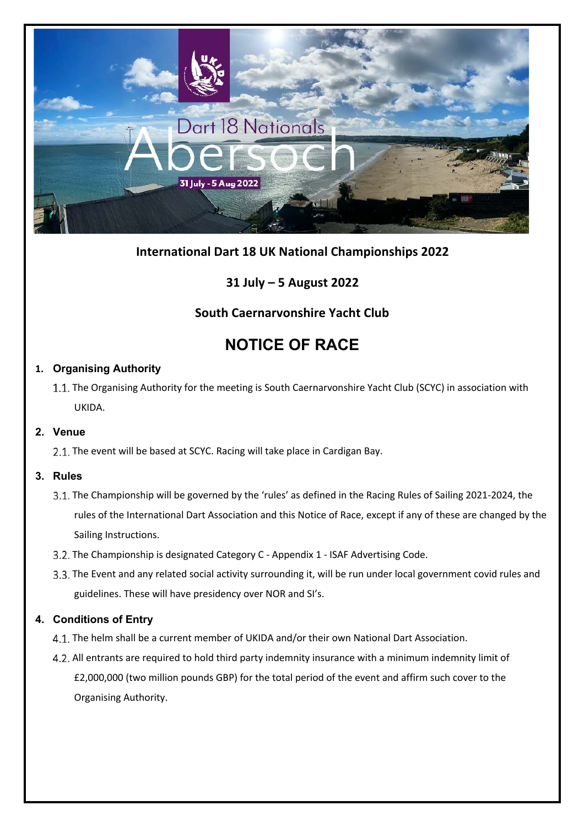

# **International Dart 18 UK National Championships 2022**

# **31 July – 5 August 2022**

# **South Caernarvonshire Yacht Club**

# **NOTICE OF RACE**

## **1. Organising Authority**

1.1. The Organising Authority for the meeting is South Caernarvonshire Yacht Club (SCYC) in association with UKIDA.

## **2. Venue**

2.1. The event will be based at SCYC. Racing will take place in Cardigan Bay.

## **3. Rules**

- 3.1. The Championship will be governed by the 'rules' as defined in the Racing Rules of Sailing 2021-2024, the rules of the International Dart Association and this Notice of Race, except if any of these are changed by the Sailing Instructions.
- 3.2. The Championship is designated Category C Appendix 1 ISAF Advertising Code.
- 3.3. The Event and any related social activity surrounding it, will be run under local government covid rules and guidelines. These will have presidency over NOR and SI's.

# **4. Conditions of Entry**

- 4.1. The helm shall be a current member of UKIDA and/or their own National Dart Association.
- All entrants are required to hold third party indemnity insurance with a minimum indemnity limit of £2,000,000 (two million pounds GBP) for the total period of the event and affirm such cover to the Organising Authority.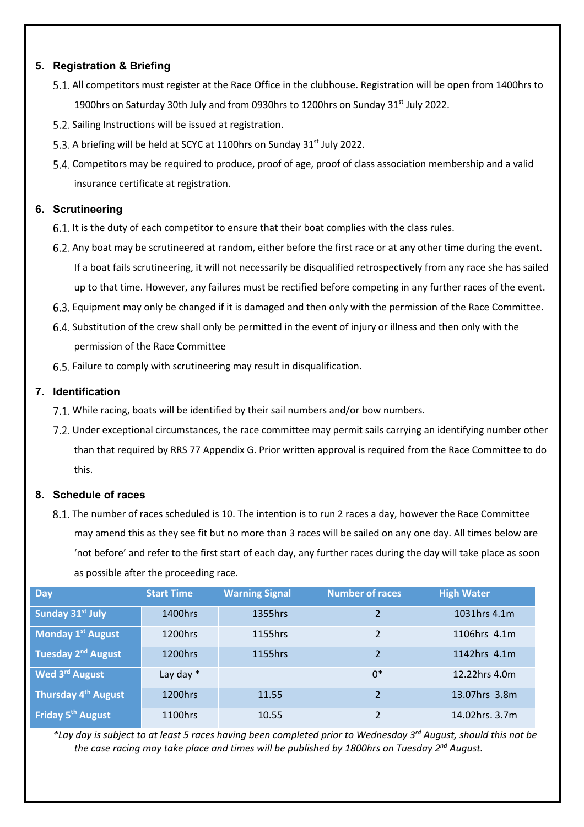### **5. Registration & Briefing**

- 5.1. All competitors must register at the Race Office in the clubhouse. Registration will be open from 1400hrs to 1900hrs on Saturday 30th July and from 0930hrs to 1200hrs on Sunday 31 $\mathrm{st}$  July 2022.
- 5.2. Sailing Instructions will be issued at registration.
- 5.3. A briefing will be held at SCYC at 1100hrs on Sunday 31<sup>st</sup> July 2022.
- Competitors may be required to produce, proof of age, proof of class association membership and a valid insurance certificate at registration.

#### **6. Scrutineering**

- 6.1. It is the duty of each competitor to ensure that their boat complies with the class rules.
- 6.2. Any boat may be scrutineered at random, either before the first race or at any other time during the event. If a boat fails scrutineering, it will not necessarily be disqualified retrospectively from any race she has sailed up to that time. However, any failures must be rectified before competing in any further races of the event.
- Equipment may only be changed if it is damaged and then only with the permission of the Race Committee.
- Substitution of the crew shall only be permitted in the event of injury or illness and then only with the permission of the Race Committee
- 6.5. Failure to comply with scrutineering may result in disqualification.

#### **7. Identification**

- 7.1. While racing, boats will be identified by their sail numbers and/or bow numbers.
- 7.2. Under exceptional circumstances, the race committee may permit sails carrying an identifying number other than that required by RRS 77 Appendix G. Prior written approval is required from the Race Committee to do this.

#### **8. Schedule of races**

8.1. The number of races scheduled is 10. The intention is to run 2 races a day, however the Race Committee may amend this as they see fit but no more than 3 races will be sailed on any one day. All times below are 'not before' and refer to the first start of each day, any further races during the day will take place as soon as possible after the proceeding race.

| Day                             | <b>Start Time</b> | <b>Warning Signal</b> | <b>Number of races</b>   | <b>High Water</b> |
|---------------------------------|-------------------|-----------------------|--------------------------|-------------------|
| Sunday 31 <sup>st</sup> July    | 1400hrs           | 1355hrs               | $\overline{\mathbf{c}}$  | 1031hrs 4.1m      |
| <b>Monday 1st August</b>        | 1200hrs           | 1155hrs               | $\overline{2}$           | 1106hrs 4.1m      |
| Tuesday 2 <sup>nd</sup> August  | 1200hrs           | 1155hrs               | $\overline{2}$           | 1142hrs 4.1m      |
| Wed 3rd August                  | Lay day $*$       |                       | $0*$                     | 12.22hrs 4.0m     |
| Thursday 4 <sup>th</sup> August | 1200hrs           | 11.55                 | $\overline{2}$           | 13.07hrs 3.8m     |
| Friday 5 <sup>th</sup> August   | 1100hrs           | 10.55                 | $\overline{\mathcal{L}}$ | 14.02hrs. 3.7m    |

*\*Lay day is subject to at least 5 races having been completed prior to Wednesday 3rd August, should this not be the case racing may take place and times will be published by 1800hrs on Tuesday 2nd August.*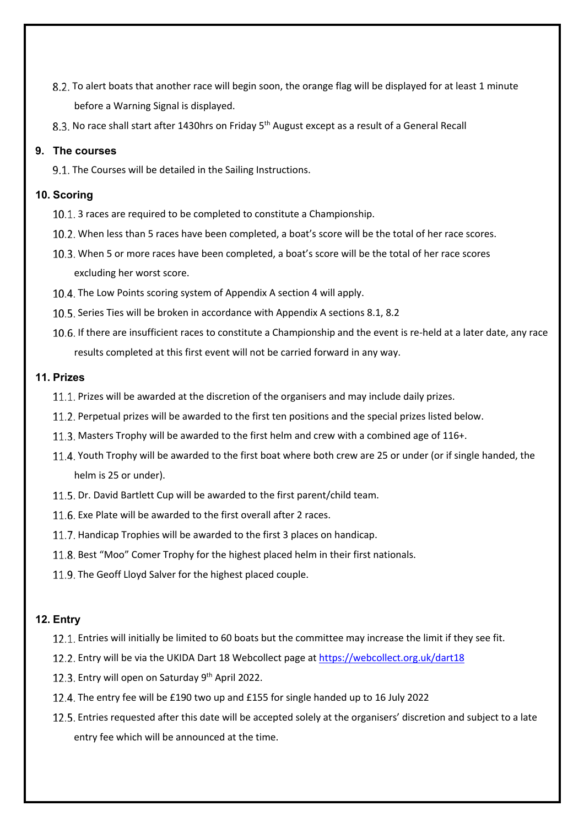- 8.2. To alert boats that another race will begin soon, the orange flag will be displayed for at least 1 minute before a Warning Signal is displayed.
- 8.3. No race shall start after 1430hrs on Friday 5<sup>th</sup> August except as a result of a General Recall

#### **9. The courses**

9.1. The Courses will be detailed in the Sailing Instructions.

#### **10. Scoring**

- 10.1. 3 races are required to be completed to constitute a Championship.
- When less than 5 races have been completed, a boat's score will be the total of her race scores.
- When 5 or more races have been completed, a boat's score will be the total of her race scores excluding her worst score.
- 10.4. The Low Points scoring system of Appendix A section 4 will apply.
- 10.5. Series Ties will be broken in accordance with Appendix A sections 8.1, 8.2
- 10.6. If there are insufficient races to constitute a Championship and the event is re-held at a later date, any race results completed at this first event will not be carried forward in any way.

#### **11. Prizes**

- 11.1. Prizes will be awarded at the discretion of the organisers and may include daily prizes.
- 11.2. Perpetual prizes will be awarded to the first ten positions and the special prizes listed below.
- 11.3. Masters Trophy will be awarded to the first helm and crew with a combined age of 116+.
- 11.4. Youth Trophy will be awarded to the first boat where both crew are 25 or under (or if single handed, the helm is 25 or under).
- 11.5. Dr. David Bartlett Cup will be awarded to the first parent/child team.
- 11.6. Exe Plate will be awarded to the first overall after 2 races.
- 11.7. Handicap Trophies will be awarded to the first 3 places on handicap.
- 11.8. Best "Moo" Comer Trophy for the highest placed helm in their first nationals.
- 11.9. The Geoff Lloyd Salver for the highest placed couple.

#### **12. Entry**

- 12.1. Entries will initially be limited to 60 boats but the committee may increase the limit if they see fit.
- Entry will be via the UKIDA Dart 18 Webcollect page at https://webcollect.org.uk/dart18
- 12.3. Entry will open on Saturday  $9<sup>th</sup>$  April 2022.
- 12.4. The entry fee will be £190 two up and £155 for single handed up to 16 July 2022
- Entries requested after this date will be accepted solely at the organisers' discretion and subject to a late entry fee which will be announced at the time.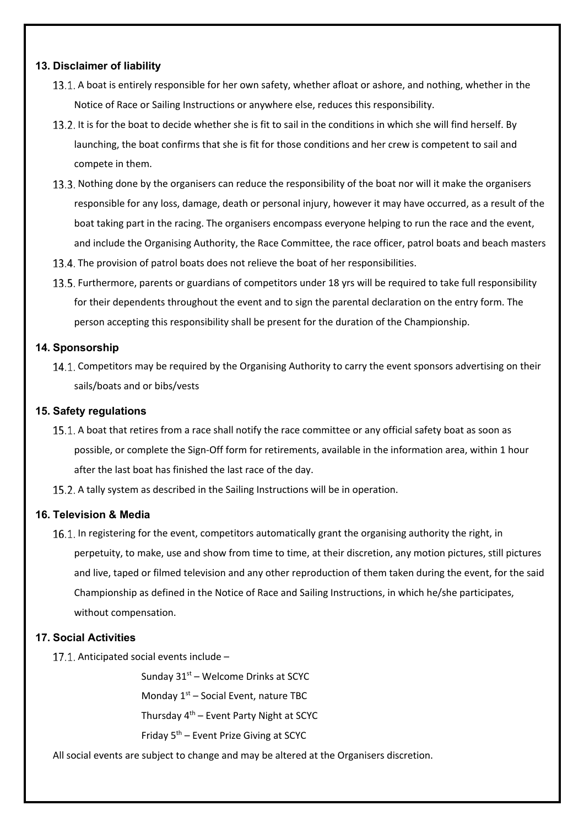#### **13. Disclaimer of liability**

- 13.1. A boat is entirely responsible for her own safety, whether afloat or ashore, and nothing, whether in the Notice of Race or Sailing Instructions or anywhere else, reduces this responsibility.
- 13.2. It is for the boat to decide whether she is fit to sail in the conditions in which she will find herself. By launching, the boat confirms that she is fit for those conditions and her crew is competent to sail and compete in them.
- 13.3. Nothing done by the organisers can reduce the responsibility of the boat nor will it make the organisers responsible for any loss, damage, death or personal injury, however it may have occurred, as a result of the boat taking part in the racing. The organisers encompass everyone helping to run the race and the event, and include the Organising Authority, the Race Committee, the race officer, patrol boats and beach masters
- 13.4. The provision of patrol boats does not relieve the boat of her responsibilities.
- 13.5. Furthermore, parents or guardians of competitors under 18 yrs will be required to take full responsibility for their dependents throughout the event and to sign the parental declaration on the entry form. The person accepting this responsibility shall be present for the duration of the Championship.

#### **14. Sponsorship**

14.1. Competitors may be required by the Organising Authority to carry the event sponsors advertising on their sails/boats and or bibs/vests

#### **15. Safety regulations**

- 15.1. A boat that retires from a race shall notify the race committee or any official safety boat as soon as possible, or complete the Sign-Off form for retirements, available in the information area, within 1 hour after the last boat has finished the last race of the day.
- 15.2. A tally system as described in the Sailing Instructions will be in operation.

#### **16. Television & Media**

16.1. In registering for the event, competitors automatically grant the organising authority the right, in perpetuity, to make, use and show from time to time, at their discretion, any motion pictures, still pictures and live, taped or filmed television and any other reproduction of them taken during the event, for the said Championship as defined in the Notice of Race and Sailing Instructions, in which he/she participates, without compensation.

#### **17. Social Activities**

17.1. Anticipated social events include  $-$ 

Sunday 31<sup>st</sup> – Welcome Drinks at SCYC

Monday 1<sup>st</sup> – Social Event, nature TBC

Thursday 4<sup>th</sup> – Event Party Night at SCYC

Friday 5<sup>th</sup> – Event Prize Giving at SCYC

All social events are subject to change and may be altered at the Organisers discretion.